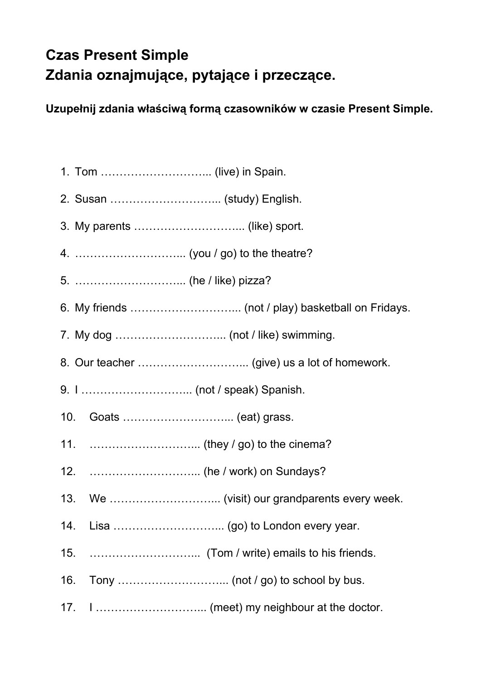## **Czas Present Simple Zdania oznajmujące, pytające i przeczące.**

**Uzupełnij zdania właściwą formą czasowników w czasie Present Simple.**

- 1. Tom ………………………... (live) in Spain.
- 2. Susan ………………………... (study) English.
- 3. My parents ………………………... (like) sport.
- 4. ………………………... (you / go) to the theatre?
- 5. ………………………... (he / like) pizza?
- 6. My friends ………………………... (not / play) basketball on Fridays.
- 7. My dog ………………………... (not / like) swimming.
- 8. Our teacher ………………………... (give) us a lot of homework.
- 9. I ………………………... (not / speak) Spanish.
- 10. Goats ………………………... (eat) grass.
- 11. ………………………... (they / go) to the cinema?
- 12. ………………………... (he / work) on Sundays?
- 13. We ………………………... (visit) our grandparents every week.
- 14. Lisa .................................. (go) to London every year.
- 15. ………………………... (Tom / write) emails to his friends.
- 16. Tony ………………………... (not / go) to school by bus.
- 17. I ………………………... (meet) my neighbour at the doctor.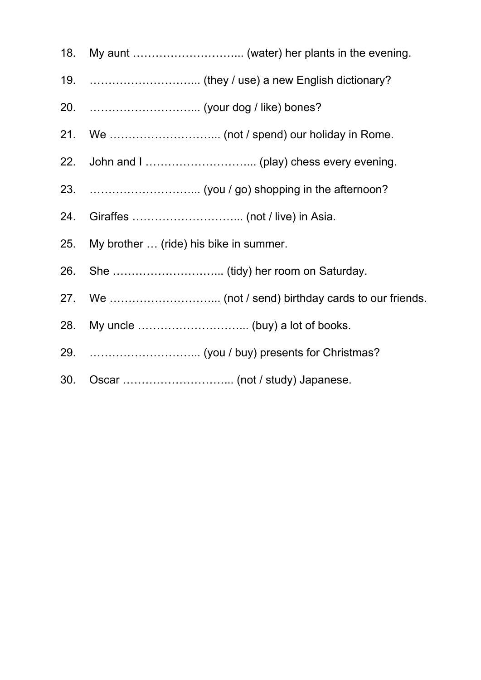- 18. My aunt ………………………... (water) her plants in the evening.
- 19. ………………………... (they / use) a new English dictionary?
- 20. ………………………... (your dog / like) bones?
- 21. We ………………………... (not / spend) our holiday in Rome.
- 22. John and I ………………………... (play) chess every evening.
- 23. ………………………... (you / go) shopping in the afternoon?
- 24. Giraffes ………………………... (not / live) in Asia.
- 25. My brother … (ride) his bike in summer.
- 26. She ………………………... (tidy) her room on Saturday.
- 27. We ………………………... (not / send) birthday cards to our friends.
- 28. My uncle ………………………... (buy) a lot of books.
- 29. ………………………... (you / buy) presents for Christmas?
- 30. Oscar ………………………... (not / study) Japanese.